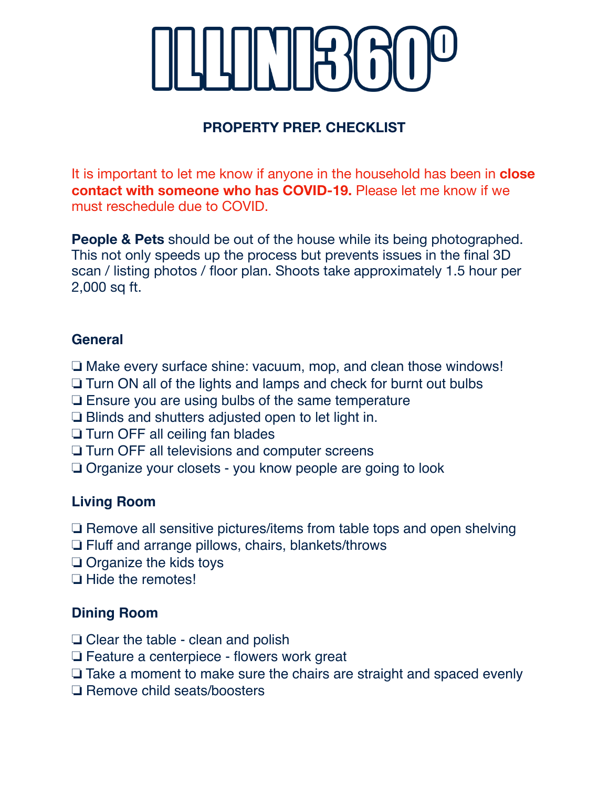# **PROPERTY PREP. CHECKLIST**

It is important to let me know if anyone in the household has been in **close contact with someone who has COVID-19.** Please let me know if we must reschedule due to COVID.

**People & Pets** should be out of the house while its being photographed. This not only speeds up the process but prevents issues in the final 3D scan / listing photos / floor plan. Shoots take approximately 1.5 hour per 2,000 sq ft.

### **General**

❏ Make every surface shine: vacuum, mop, and clean those windows!

- ❏ Turn ON all of the lights and lamps and check for burnt out bulbs
- ❏ Ensure you are using bulbs of the same temperature
- ❏ Blinds and shutters adjusted open to let light in.
- ❏ Turn OFF all ceiling fan blades
- ❏ Turn OFF all televisions and computer screens
- ❏ Organize your closets you know people are going to look

## **Living Room**

❏ Remove all sensitive pictures/items from table tops and open shelving

- ❏ Fluff and arrange pillows, chairs, blankets/throws
- ❏ Organize the kids toys
- ❏ Hide the remotes!

#### **Dining Room**

- ❏ Clear the table clean and polish
- ❏ Feature a centerpiece flowers work great
- ❏ Take a moment to make sure the chairs are straight and spaced evenly
- ❏ Remove child seats/boosters